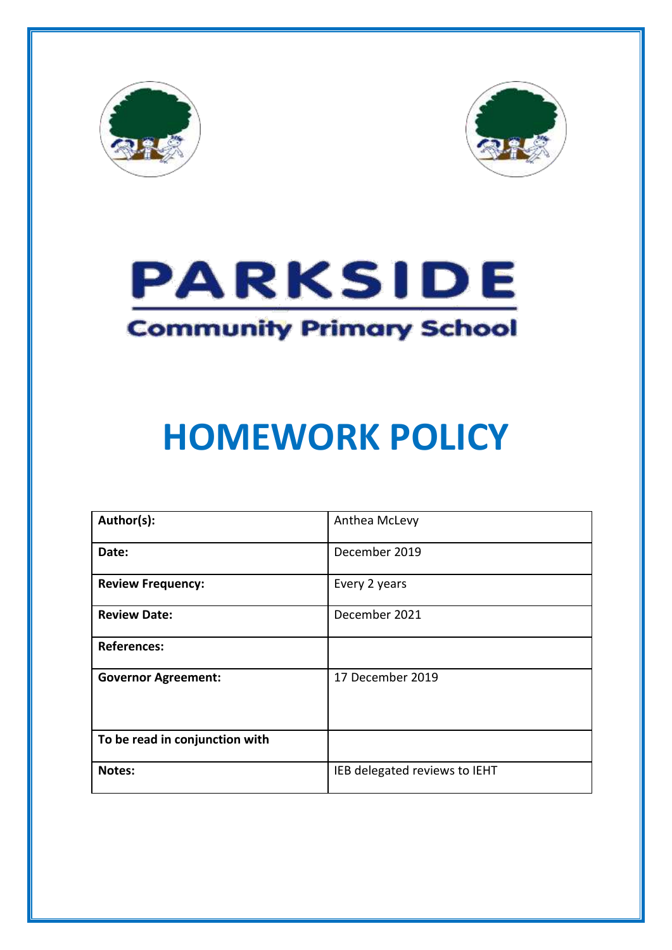





# **HOMEWORK POLICY**

| Author(s):                     | Anthea McLevy                 |  |  |
|--------------------------------|-------------------------------|--|--|
| Date:                          | December 2019                 |  |  |
| <b>Review Frequency:</b>       | Every 2 years                 |  |  |
| <b>Review Date:</b>            | December 2021                 |  |  |
| <b>References:</b>             |                               |  |  |
| <b>Governor Agreement:</b>     | 17 December 2019              |  |  |
| To be read in conjunction with |                               |  |  |
| Notes:                         | IEB delegated reviews to IEHT |  |  |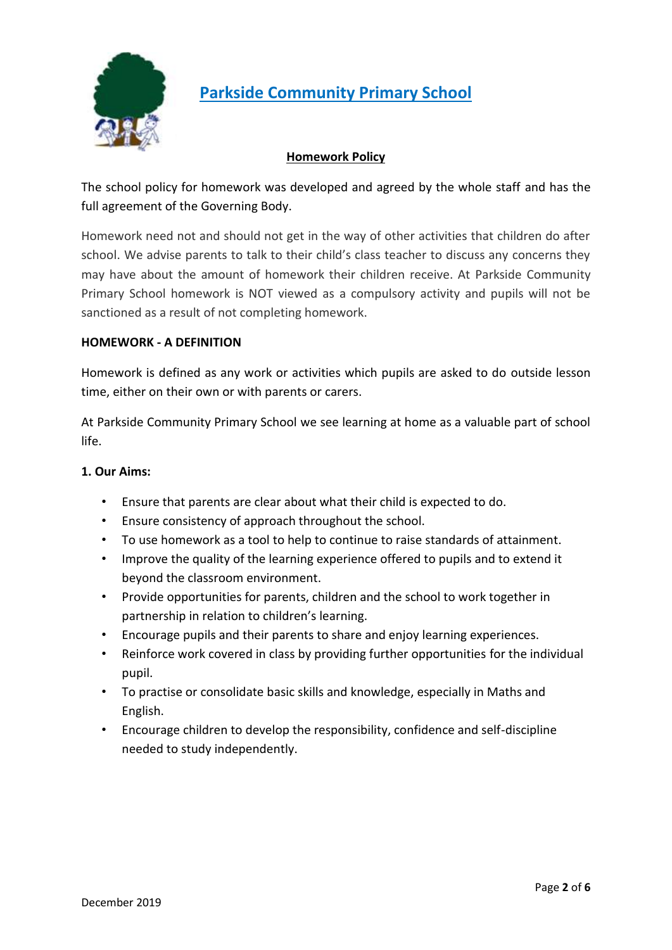

# **Parkside Community Primary School**

# **Homework Policy**

The school policy for homework was developed and agreed by the whole staff and has the full agreement of the Governing Body.

Homework need not and should not get in the way of other activities that children do after school. We advise parents to talk to their child's class teacher to discuss any concerns they may have about the amount of homework their children receive. At Parkside Community Primary School homework is NOT viewed as a compulsory activity and pupils will not be sanctioned as a result of not completing homework.

# **HOMEWORK - A DEFINITION**

Homework is defined as any work or activities which pupils are asked to do outside lesson time, either on their own or with parents or carers.

At Parkside Community Primary School we see learning at home as a valuable part of school life.

# **1. Our Aims:**

- Ensure that parents are clear about what their child is expected to do.
- Ensure consistency of approach throughout the school.
- To use homework as a tool to help to continue to raise standards of attainment.
- Improve the quality of the learning experience offered to pupils and to extend it beyond the classroom environment.
- Provide opportunities for parents, children and the school to work together in partnership in relation to children's learning.
- Encourage pupils and their parents to share and enjoy learning experiences.
- Reinforce work covered in class by providing further opportunities for the individual pupil.
- To practise or consolidate basic skills and knowledge, especially in Maths and English.
- Encourage children to develop the responsibility, confidence and self-discipline needed to study independently.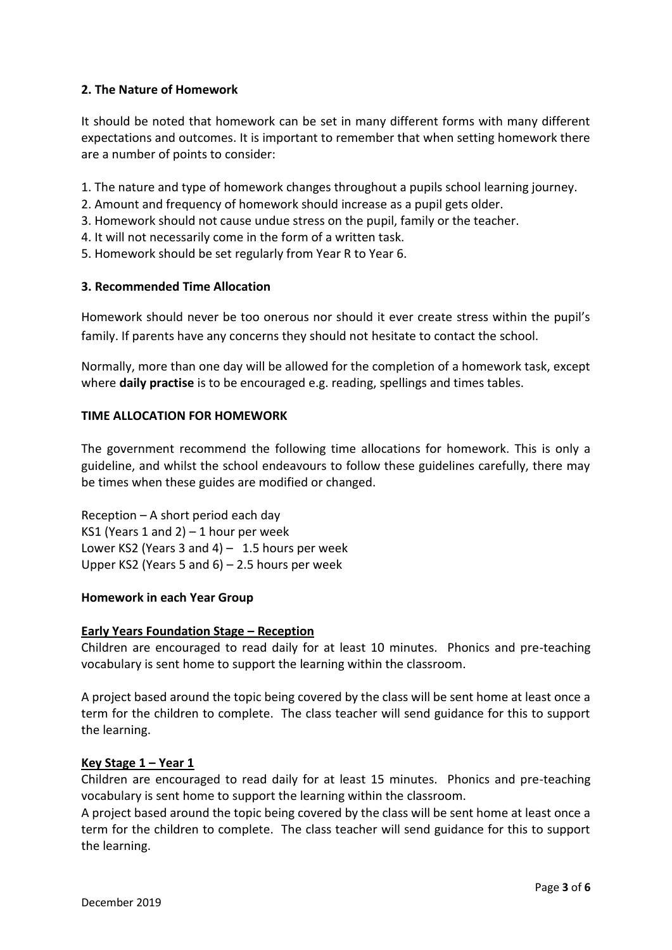# **2. The Nature of Homework**

It should be noted that homework can be set in many different forms with many different expectations and outcomes. It is important to remember that when setting homework there are a number of points to consider:

- 1. The nature and type of homework changes throughout a pupils school learning journey.
- 2. Amount and frequency of homework should increase as a pupil gets older.
- 3. Homework should not cause undue stress on the pupil, family or the teacher.
- 4. It will not necessarily come in the form of a written task.
- 5. Homework should be set regularly from Year R to Year 6.

# **3. Recommended Time Allocation**

Homework should never be too onerous nor should it ever create stress within the pupil's family. If parents have any concerns they should not hesitate to contact the school.

Normally, more than one day will be allowed for the completion of a homework task, except where **daily practise** is to be encouraged e.g. reading, spellings and times tables.

# **TIME ALLOCATION FOR HOMEWORK**

The government recommend the following time allocations for homework. This is only a guideline, and whilst the school endeavours to follow these guidelines carefully, there may be times when these guides are modified or changed.

Reception – A short period each day KS1 (Years 1 and 2)  $-1$  hour per week Lower KS2 (Years 3 and 4)  $- 1.5$  hours per week Upper KS2 (Years 5 and 6) – 2.5 hours per week

# **Homework in each Year Group**

# **Early Years Foundation Stage – Reception**

Children are encouraged to read daily for at least 10 minutes. Phonics and pre-teaching vocabulary is sent home to support the learning within the classroom.

A project based around the topic being covered by the class will be sent home at least once a term for the children to complete. The class teacher will send guidance for this to support the learning.

# **Key Stage 1 – Year 1**

Children are encouraged to read daily for at least 15 minutes. Phonics and pre-teaching vocabulary is sent home to support the learning within the classroom.

A project based around the topic being covered by the class will be sent home at least once a term for the children to complete. The class teacher will send guidance for this to support the learning.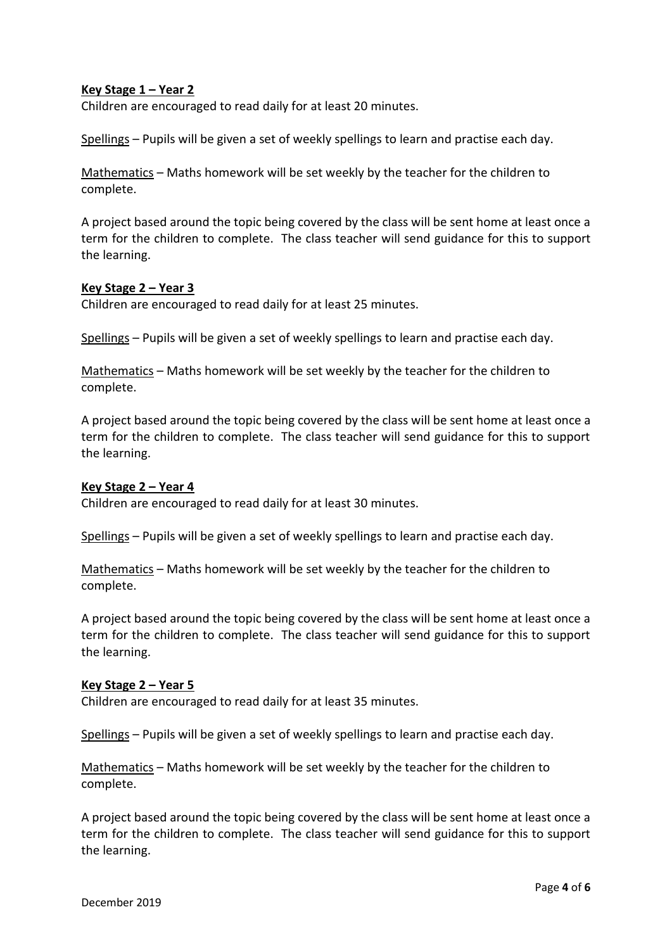# **Key Stage 1 – Year 2**

Children are encouraged to read daily for at least 20 minutes.

Spellings – Pupils will be given a set of weekly spellings to learn and practise each day.

Mathematics – Maths homework will be set weekly by the teacher for the children to complete.

A project based around the topic being covered by the class will be sent home at least once a term for the children to complete. The class teacher will send guidance for this to support the learning.

#### **Key Stage 2 – Year 3**

Children are encouraged to read daily for at least 25 minutes.

Spellings – Pupils will be given a set of weekly spellings to learn and practise each day.

Mathematics – Maths homework will be set weekly by the teacher for the children to complete.

A project based around the topic being covered by the class will be sent home at least once a term for the children to complete. The class teacher will send guidance for this to support the learning.

#### **Key Stage 2 – Year 4**

Children are encouraged to read daily for at least 30 minutes.

Spellings – Pupils will be given a set of weekly spellings to learn and practise each day.

Mathematics – Maths homework will be set weekly by the teacher for the children to complete.

A project based around the topic being covered by the class will be sent home at least once a term for the children to complete. The class teacher will send guidance for this to support the learning.

#### **Key Stage 2 – Year 5**

Children are encouraged to read daily for at least 35 minutes.

Spellings – Pupils will be given a set of weekly spellings to learn and practise each day.

Mathematics – Maths homework will be set weekly by the teacher for the children to complete.

A project based around the topic being covered by the class will be sent home at least once a term for the children to complete. The class teacher will send guidance for this to support the learning.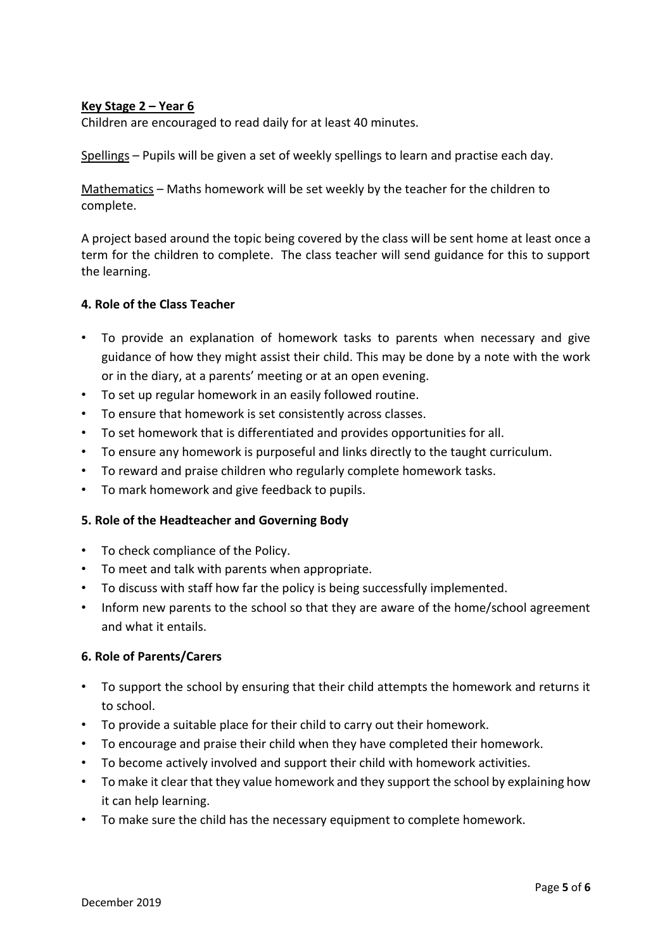# **Key Stage 2 – Year 6**

Children are encouraged to read daily for at least 40 minutes.

Spellings – Pupils will be given a set of weekly spellings to learn and practise each day.

Mathematics – Maths homework will be set weekly by the teacher for the children to complete.

A project based around the topic being covered by the class will be sent home at least once a term for the children to complete. The class teacher will send guidance for this to support the learning.

#### **4. Role of the Class Teacher**

- To provide an explanation of homework tasks to parents when necessary and give guidance of how they might assist their child. This may be done by a note with the work or in the diary, at a parents' meeting or at an open evening.
- To set up regular homework in an easily followed routine.
- To ensure that homework is set consistently across classes.
- To set homework that is differentiated and provides opportunities for all.
- To ensure any homework is purposeful and links directly to the taught curriculum.
- To reward and praise children who regularly complete homework tasks.
- To mark homework and give feedback to pupils.

# **5. Role of the Headteacher and Governing Body**

- To check compliance of the Policy.
- To meet and talk with parents when appropriate.
- To discuss with staff how far the policy is being successfully implemented.
- Inform new parents to the school so that they are aware of the home/school agreement and what it entails.

#### **6. Role of Parents/Carers**

- To support the school by ensuring that their child attempts the homework and returns it to school.
- To provide a suitable place for their child to carry out their homework.
- To encourage and praise their child when they have completed their homework.
- To become actively involved and support their child with homework activities.
- To make it clear that they value homework and they support the school by explaining how it can help learning.
- To make sure the child has the necessary equipment to complete homework.